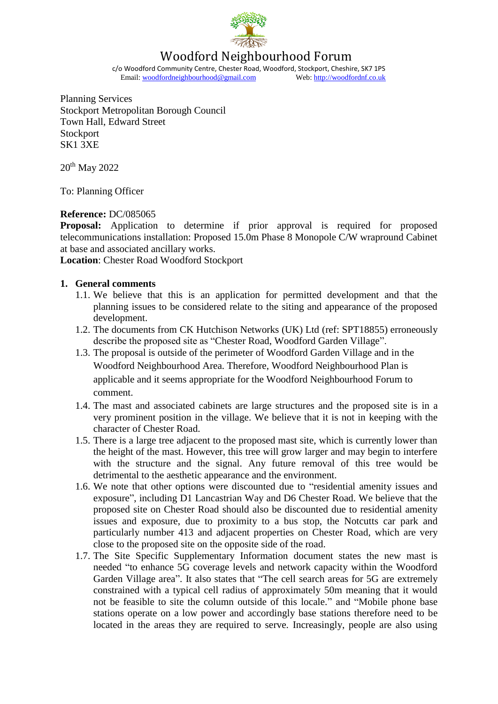

# Woodford Neighbourhood Forum

c/o Woodford Community Centre, Chester Road, Woodford, Stockport, Cheshire, SK7 1PS<br>Email: woodfordneighbourhood@gmail.com Web: http://woodfordnf.co.uk Email: woodfordneighbourhood@gmail.com

Planning Services Stockport Metropolitan Borough Council Town Hall, Edward Street **Stockport** SK1 3XE

20<sup>th</sup> May 2022

To: Planning Officer

### **Reference:** DC/085065

**Proposal:** Application to determine if prior approval is required for proposed telecommunications installation: Proposed 15.0m Phase 8 Monopole C/W wrapround Cabinet at base and associated ancillary works.

**Location**: Chester Road Woodford Stockport

### **1. General comments**

- 1.1. We believe that this is an application for permitted development and that the planning issues to be considered relate to the siting and appearance of the proposed development.
- 1.2. The documents from CK Hutchison Networks (UK) Ltd (ref: SPT18855) erroneously describe the proposed site as "Chester Road, Woodford Garden Village".
- 1.3. The proposal is outside of the perimeter of Woodford Garden Village and in the Woodford Neighbourhood Area. Therefore, Woodford Neighbourhood Plan is applicable and it seems appropriate for the Woodford Neighbourhood Forum to comment.
- 1.4. The mast and associated cabinets are large structures and the proposed site is in a very prominent position in the village. We believe that it is not in keeping with the character of Chester Road.
- 1.5. There is a large tree adjacent to the proposed mast site, which is currently lower than the height of the mast. However, this tree will grow larger and may begin to interfere with the structure and the signal. Any future removal of this tree would be detrimental to the aesthetic appearance and the environment.
- 1.6. We note that other options were discounted due to "residential amenity issues and exposure", including D1 Lancastrian Way and D6 Chester Road. We believe that the proposed site on Chester Road should also be discounted due to residential amenity issues and exposure, due to proximity to a bus stop, the Notcutts car park and particularly number 413 and adjacent properties on Chester Road, which are very close to the proposed site on the opposite side of the road.
- 1.7. The Site Specific Supplementary Information document states the new mast is needed "to enhance 5G coverage levels and network capacity within the Woodford Garden Village area". It also states that "The cell search areas for 5G are extremely constrained with a typical cell radius of approximately 50m meaning that it would not be feasible to site the column outside of this locale." and "Mobile phone base stations operate on a low power and accordingly base stations therefore need to be located in the areas they are required to serve. Increasingly, people are also using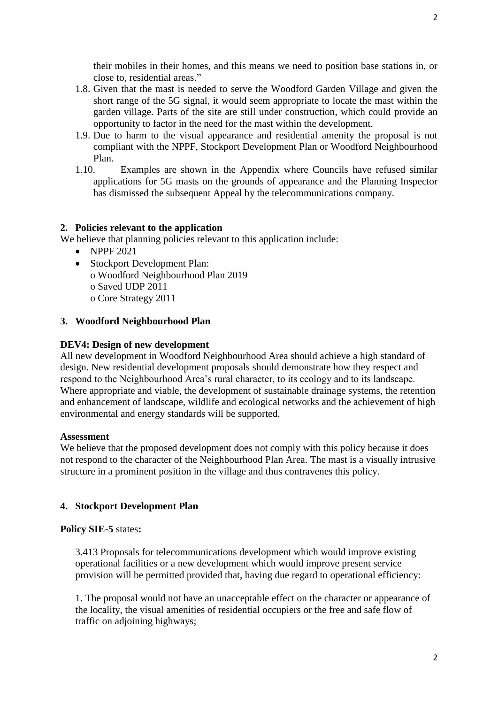their mobiles in their homes, and this means we need to position base stations in, or close to, residential areas."

- 1.8. Given that the mast is needed to serve the Woodford Garden Village and given the short range of the 5G signal, it would seem appropriate to locate the mast within the garden village. Parts of the site are still under construction, which could provide an opportunity to factor in the need for the mast within the development.
- 1.9. Due to harm to the visual appearance and residential amenity the proposal is not compliant with the NPPF, Stockport Development Plan or Woodford Neighbourhood Plan.
- 1.10. Examples are shown in the Appendix where Councils have refused similar applications for 5G masts on the grounds of appearance and the Planning Inspector has dismissed the subsequent Appeal by the telecommunications company.

#### **2. Policies relevant to the application**

We believe that planning policies relevant to this application include:

- $\bullet$  NPPF 2021
- Stockport Development Plan: o Woodford Neighbourhood Plan 2019 o Saved UDP 2011 o Core Strategy 2011

#### **3. Woodford Neighbourhood Plan**

#### **DEV4: Design of new development**

All new development in Woodford Neighbourhood Area should achieve a high standard of design. New residential development proposals should demonstrate how they respect and respond to the Neighbourhood Area's rural character, to its ecology and to its landscape. Where appropriate and viable, the development of sustainable drainage systems, the retention and enhancement of landscape, wildlife and ecological networks and the achievement of high environmental and energy standards will be supported.

#### **Assessment**

We believe that the proposed development does not comply with this policy because it does not respond to the character of the Neighbourhood Plan Area. The mast is a visually intrusive structure in a prominent position in the village and thus contravenes this policy.

#### **4. Stockport Development Plan**

#### **Policy SIE-5** states**:**

3.413 Proposals for telecommunications development which would improve existing operational facilities or a new development which would improve present service provision will be permitted provided that, having due regard to operational efficiency:

1. The proposal would not have an unacceptable effect on the character or appearance of the locality, the visual amenities of residential occupiers or the free and safe flow of traffic on adjoining highways;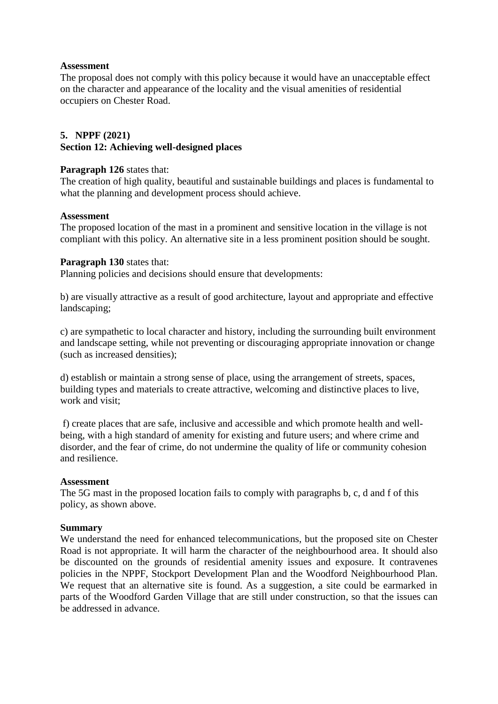### **Assessment**

The proposal does not comply with this policy because it would have an unacceptable effect on the character and appearance of the locality and the visual amenities of residential occupiers on Chester Road.

# **5. NPPF (2021) Section 12: Achieving well-designed places**

### **Paragraph 126** states that:

The creation of high quality, beautiful and sustainable buildings and places is fundamental to what the planning and development process should achieve.

### **Assessment**

The proposed location of the mast in a prominent and sensitive location in the village is not compliant with this policy. An alternative site in a less prominent position should be sought.

### **Paragraph 130** states that:

Planning policies and decisions should ensure that developments:

b) are visually attractive as a result of good architecture, layout and appropriate and effective landscaping;

c) are sympathetic to local character and history, including the surrounding built environment and landscape setting, while not preventing or discouraging appropriate innovation or change (such as increased densities);

d) establish or maintain a strong sense of place, using the arrangement of streets, spaces, building types and materials to create attractive, welcoming and distinctive places to live, work and visit;

f) create places that are safe, inclusive and accessible and which promote health and wellbeing, with a high standard of amenity for existing and future users; and where crime and disorder, and the fear of crime, do not undermine the quality of life or community cohesion and resilience.

### **Assessment**

The 5G mast in the proposed location fails to comply with paragraphs b, c, d and f of this policy, as shown above.

### **Summary**

We understand the need for enhanced telecommunications, but the proposed site on Chester Road is not appropriate. It will harm the character of the neighbourhood area. It should also be discounted on the grounds of residential amenity issues and exposure. It contravenes policies in the NPPF, Stockport Development Plan and the Woodford Neighbourhood Plan. We request that an alternative site is found. As a suggestion, a site could be earmarked in parts of the Woodford Garden Village that are still under construction, so that the issues can be addressed in advance.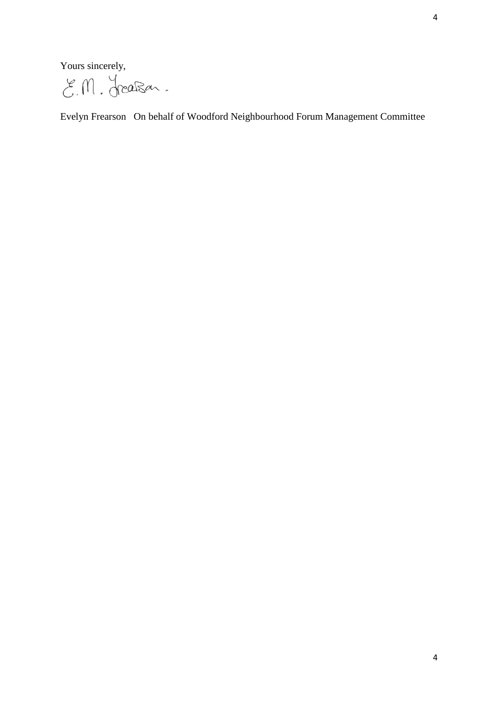Yours sincerely,

E.M. Jreaßen.

Evelyn Frearson On behalf of Woodford Neighbourhood Forum Management Committee